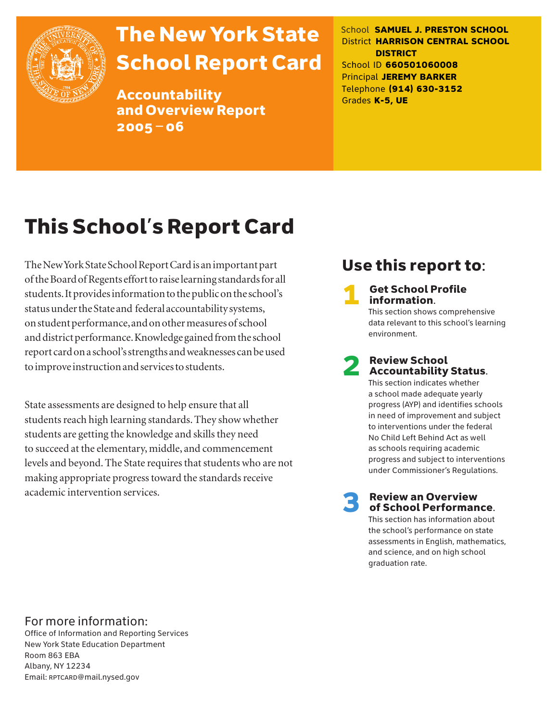

# The New York State School Report Card

Accountability and Overview Report 2005–06

School **SAMUEL J. PRESTON SCHOOL** District **HARRISON CENTRAL SCHOOL DISTRICT** School ID **660501060008** Principal **JEREMY BARKER** Telephone **(914) 630-3152** Grades **K-5, UE**

# This School's Report Card

The New York State School Report Card is an important part of the Board of Regents effort to raise learning standards for all students. It provides information to the public on the school's status under the State and federal accountability systems, on student performance, and on other measures of school and district performance. Knowledge gained from the school report card on a school's strengths and weaknesses can be used to improve instruction and services to students.

State assessments are designed to help ensure that all students reach high learning standards. They show whether students are getting the knowledge and skills they need to succeed at the elementary, middle, and commencement levels and beyond. The State requires that students who are not making appropriate progress toward the standards receive academic intervention services.

# Use this report to:

**Get School Profile** information. This section shows comprehensive data relevant to this school's learning

# 2 Review School Accountability Status.

environment.

This section indicates whether a school made adequate yearly progress (AYP) and identifies schools in need of improvement and subject to interventions under the federal No Child Left Behind Act as well as schools requiring academic progress and subject to interventions under Commissioner's Regulations.

**Review an Overview** of School Performance.

This section has information about the school's performance on state assessments in English, mathematics, and science, and on high school graduation rate.

## For more information:

Office of Information and Reporting Services New York State Education Department Room 863 EBA Albany, NY 12234 Email: RPTCARD@mail.nysed.gov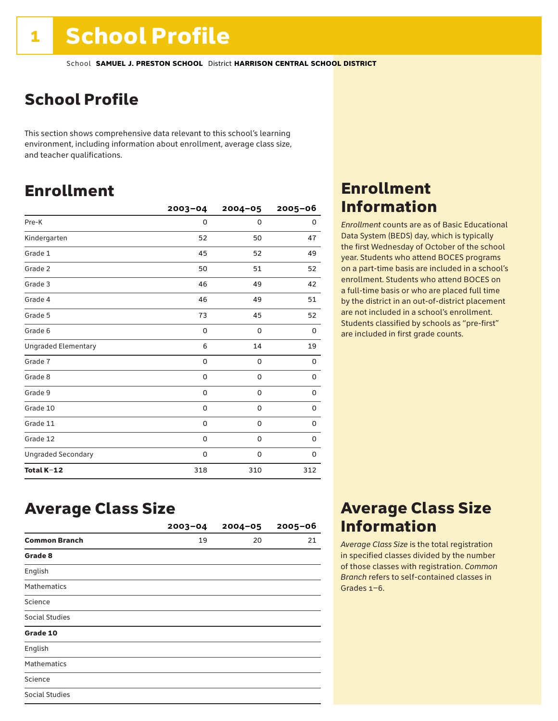# School Profile

This section shows comprehensive data relevant to this school's learning environment, including information about enrollment, average class size, and teacher qualifications.

# Enrollment

|                            | $2003 - 04$ | $2004 - 05$ | 2005-06 |
|----------------------------|-------------|-------------|---------|
| Pre-K                      | 0           | 0           | 0       |
| Kindergarten               | 52          | 50          | 47      |
| Grade 1                    | 45          | 52          | 49      |
| Grade 2                    | 50          | 51          | 52      |
| Grade 3                    | 46          | 49          | 42      |
| Grade 4                    | 46          | 49          | 51      |
| Grade 5                    | 73          | 45          | 52      |
| Grade 6                    | 0           | 0           | 0       |
| <b>Ungraded Elementary</b> | 6           | 14          | 19      |
| Grade 7                    | 0           | $\mathbf 0$ | 0       |
| Grade 8                    | 0           | 0           | 0       |
| Grade 9                    | 0           | 0           | 0       |
| Grade 10                   | 0           | 0           | 0       |
| Grade 11                   | 0           | $\mathbf 0$ | 0       |
| Grade 12                   | 0           | $\mathbf 0$ | 0       |
| <b>Ungraded Secondary</b>  | 0           | 0           | 0       |
| Total K-12                 | 318         | 310         | 312     |

# Enrollment Information

*Enrollment* counts are as of Basic Educational Data System (BEDS) day, which is typically the first Wednesday of October of the school year. Students who attend BOCES programs on a part-time basis are included in a school's enrollment. Students who attend BOCES on a full-time basis or who are placed full time by the district in an out-of-district placement are not included in a school's enrollment. Students classified by schools as "pre-first" are included in first grade counts.

## Average Class Size

|                      | $2003 - 04$ | $2004 - 05$ | $2005 - 06$ |
|----------------------|-------------|-------------|-------------|
| <b>Common Branch</b> | 19          | 20          | 21          |
| Grade 8              |             |             |             |
| English              |             |             |             |
| <b>Mathematics</b>   |             |             |             |
| Science              |             |             |             |
| Social Studies       |             |             |             |
| Grade 10             |             |             |             |
| English              |             |             |             |
| <b>Mathematics</b>   |             |             |             |
| Science              |             |             |             |
| Social Studies       |             |             |             |

# Average Class Size Information

*Average Class Size* is the total registration in specified classes divided by the number of those classes with registration. *Common Branch* refers to self-contained classes in Grades 1–6.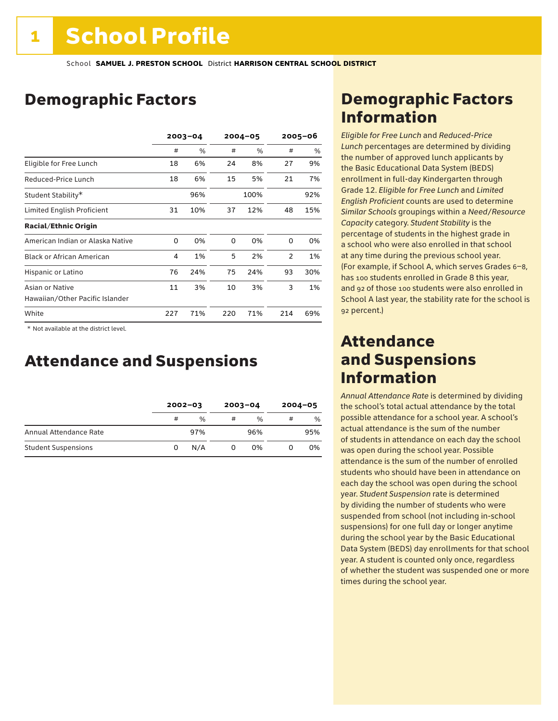# Demographic Factors

|                                                    | $2003 - 04$ |     | $2004 - 05$ |      | $2005 - 06$    |     |
|----------------------------------------------------|-------------|-----|-------------|------|----------------|-----|
|                                                    | #           | %   | #           | %    | #              | %   |
| Eligible for Free Lunch                            | 18          | 6%  | 24          | 8%   | 27             | 9%  |
| Reduced-Price Lunch                                | 18          | 6%  | 15          | 5%   | 21             | 7%  |
| Student Stability*                                 |             | 96% |             | 100% |                | 92% |
| Limited English Proficient                         | 31          | 10% | 37          | 12%  | 48             | 15% |
| <b>Racial/Ethnic Origin</b>                        |             |     |             |      |                |     |
| American Indian or Alaska Native                   | 0           | 0%  | 0           | 0%   | $\Omega$       | 0%  |
| <b>Black or African American</b>                   | 4           | 1%  | 5           | 2%   | $\overline{2}$ | 1%  |
| Hispanic or Latino                                 | 76          | 24% | 75          | 24%  | 93             | 30% |
| Asian or Native<br>Hawaiian/Other Pacific Islander | 11          | 3%  | 10          | 3%   | 3              | 1%  |
| White                                              | 227         | 71% | 220         | 71%  | 214            | 69% |

 \* Not available at the district level.

# Attendance and Suspensions

|                            |   | $2002 - 03$   |   | $2003 - 04$   |   | $2004 - 05$ |
|----------------------------|---|---------------|---|---------------|---|-------------|
|                            | # | $\frac{0}{6}$ | # | $\frac{0}{0}$ | # | %           |
| Annual Attendance Rate     |   | 97%           |   | 96%           |   | 95%         |
| <b>Student Suspensions</b> | 0 | N/A           |   | 0%            |   | 0%          |

# Demographic Factors Information

*Eligible for Free Lunch* and *Reduced*-*Price Lunch* percentages are determined by dividing the number of approved lunch applicants by the Basic Educational Data System (BEDS) enrollment in full-day Kindergarten through Grade 12. *Eligible for Free Lunch* and *Limited English Proficient* counts are used to determine *Similar Schools* groupings within a *Need*/*Resource Capacity* category. *Student Stability* is the percentage of students in the highest grade in a school who were also enrolled in that school at any time during the previous school year. (For example, if School A, which serves Grades 6–8, has 100 students enrolled in Grade 8 this year, and 92 of those 100 students were also enrolled in School A last year, the stability rate for the school is 92 percent.)

## Attendance and Suspensions Information

*Annual Attendance Rate* is determined by dividing the school's total actual attendance by the total possible attendance for a school year. A school's actual attendance is the sum of the number of students in attendance on each day the school was open during the school year. Possible attendance is the sum of the number of enrolled students who should have been in attendance on each day the school was open during the school year. *Student Suspension* rate is determined by dividing the number of students who were suspended from school (not including in-school suspensions) for one full day or longer anytime during the school year by the Basic Educational Data System (BEDS) day enrollments for that school year. A student is counted only once, regardless of whether the student was suspended one or more times during the school year.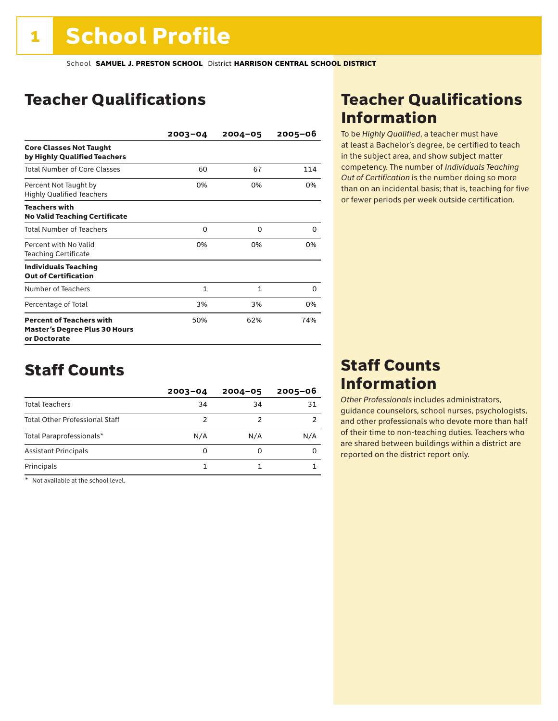# Teacher Qualifications

|                                                                                         | $2003 - 04$  | $2004 - 05$ | 2005-06 |
|-----------------------------------------------------------------------------------------|--------------|-------------|---------|
| <b>Core Classes Not Taught</b><br>by Highly Qualified Teachers                          |              |             |         |
| <b>Total Number of Core Classes</b>                                                     | 60           | 67          | 114     |
| Percent Not Taught by<br><b>Highly Qualified Teachers</b>                               | 0%           | 0%          | 0%      |
| <b>Teachers with</b><br><b>No Valid Teaching Certificate</b>                            |              |             |         |
| <b>Total Number of Teachers</b>                                                         | 0            | 0           | 0       |
| Percent with No Valid<br><b>Teaching Certificate</b>                                    | 0%           | 0%          | 0%      |
| <b>Individuals Teaching</b><br><b>Out of Certification</b>                              |              |             |         |
| Number of Teachers                                                                      | $\mathbf{1}$ | 1           | 0       |
| Percentage of Total                                                                     | 3%           | 3%          | 0%      |
| <b>Percent of Teachers with</b><br><b>Master's Degree Plus 30 Hours</b><br>or Doctorate | 50%          | 62%         | 74%     |

# Staff Counts

|                                       | $2003 - 04$ | $2004 - 05$ | $2005 - 06$ |
|---------------------------------------|-------------|-------------|-------------|
| <b>Total Teachers</b>                 | 34          | 34          | 31          |
| <b>Total Other Professional Staff</b> | 2           |             |             |
| Total Paraprofessionals*              | N/A         | N/A         | N/A         |
| <b>Assistant Principals</b>           | 0           | 0           |             |
| Principals                            |             |             |             |

\* Not available at the school level.

# Teacher Qualifications Information

To be *Highly Qualified*, a teacher must have at least a Bachelor's degree, be certified to teach in the subject area, and show subject matter competency. The number of *Individuals Teaching Out of Certification* is the number doing so more than on an incidental basis; that is, teaching for five or fewer periods per week outside certification.

# Staff Counts Information

*Other Professionals* includes administrators, guidance counselors, school nurses, psychologists, and other professionals who devote more than half of their time to non-teaching duties. Teachers who are shared between buildings within a district are reported on the district report only.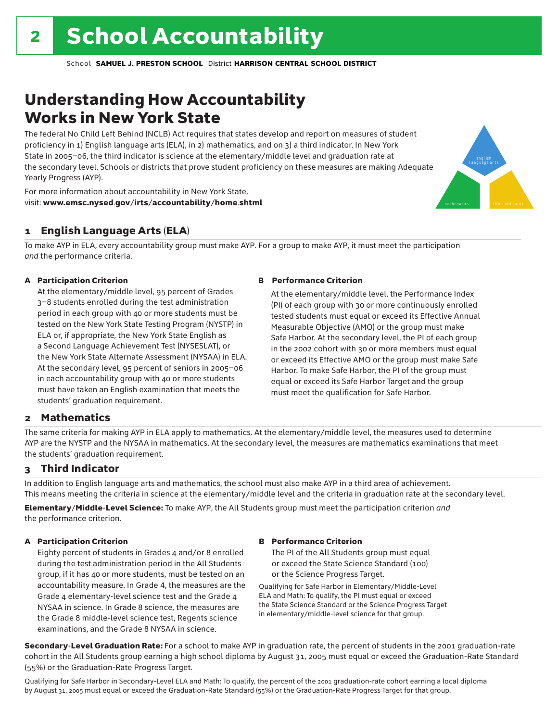# Understanding How Accountability Works in New York State

The federal No Child Left Behind (NCLB) Act requires that states develop and report on measures of student proficiency in 1) English language arts (ELA), in 2) mathematics, and on 3) a third indicator. In New York State in 2005–06, the third indicator is science at the elementary/middle level and graduation rate at the secondary level. Schools or districts that prove student proficiency on these measures are making Adequate Yearly Progress (AYP).



For more information about accountability in New York State, visit: www.emsc.nysed.gov/irts/accountability/home.shtml

## 1 English Language Arts (ELA)

To make AYP in ELA, every accountability group must make AYP. For a group to make AYP, it must meet the participation *and* the performance criteria.

## A Participation Criterion

At the elementary/middle level, 95 percent of Grades 3–8 students enrolled during the test administration period in each group with 40 or more students must be tested on the New York State Testing Program (NYSTP) in ELA or, if appropriate, the New York State English as a Second Language Achievement Test (NYSESLAT), or the New York State Alternate Assessment (NYSAA) in ELA. At the secondary level, 95 percent of seniors in 2005–06 in each accountability group with 40 or more students must have taken an English examination that meets the students' graduation requirement.

### B Performance Criterion

At the elementary/middle level, the Performance Index (PI) of each group with 30 or more continuously enrolled tested students must equal or exceed its Effective Annual Measurable Objective (AMO) or the group must make Safe Harbor. At the secondary level, the PI of each group in the 2002 cohort with 30 or more members must equal or exceed its Effective AMO or the group must make Safe Harbor. To make Safe Harbor, the PI of the group must equal or exceed its Safe Harbor Target and the group must meet the qualification for Safe Harbor.

## 2 Mathematics

The same criteria for making AYP in ELA apply to mathematics. At the elementary/middle level, the measures used to determine AYP are the NYSTP and the NYSAA in mathematics. At the secondary level, the measures are mathematics examinations that meet the students' graduation requirement.

## 3 Third Indicator

In addition to English language arts and mathematics, the school must also make AYP in a third area of achievement. This means meeting the criteria in science at the elementary/middle level and the criteria in graduation rate at the secondary level.

Elementary/Middle-Level Science: To make AYP, the All Students group must meet the participation criterion *and* the performance criterion.

## A Participation Criterion

Eighty percent of students in Grades 4 and/or 8 enrolled during the test administration period in the All Students group, if it has 40 or more students, must be tested on an accountability measure. In Grade 4, the measures are the Grade 4 elementary-level science test and the Grade 4 NYSAA in science. In Grade 8 science, the measures are the Grade 8 middle-level science test, Regents science examinations, and the Grade 8 NYSAA in science.

## B Performance Criterion

The PI of the All Students group must equal or exceed the State Science Standard (100) or the Science Progress Target.

Qualifying for Safe Harbor in Elementary/Middle-Level ELA and Math: To qualify, the PI must equal or exceed the State Science Standard or the Science Progress Target in elementary/middle-level science for that group.

Secondary-Level Graduation Rate: For a school to make AYP in graduation rate, the percent of students in the 2001 graduation-rate cohort in the All Students group earning a high school diploma by August 31, 2005 must equal or exceed the Graduation-Rate Standard (55%) or the Graduation-Rate Progress Target.

Qualifying for Safe Harbor in Secondary-Level ELA and Math: To qualify, the percent of the 2001 graduation-rate cohort earning a local diploma by August 31, 2005 must equal or exceed the Graduation-Rate Standard (55%) or the Graduation-Rate Progress Target for that group.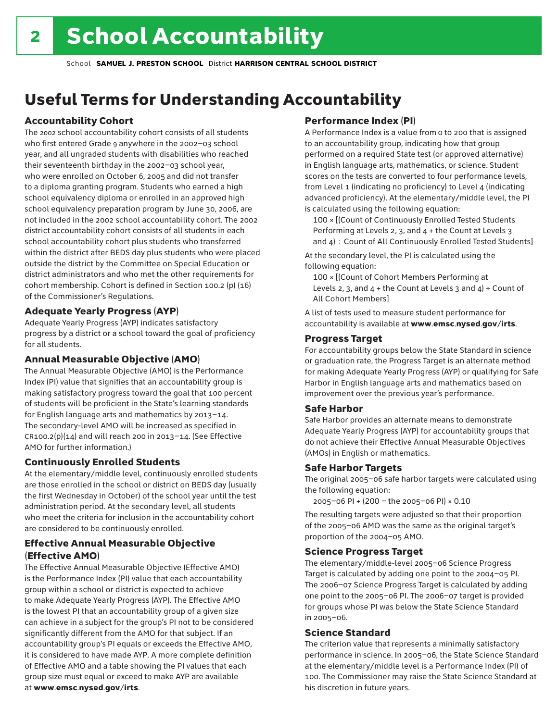# Useful Terms for Understanding Accountability

## Accountability Cohort

The 2002 school accountability cohort consists of all students who first entered Grade 9 anywhere in the 2002–03 school year, and all ungraded students with disabilities who reached their seventeenth birthday in the 2002–03 school year, who were enrolled on October 6, 2005 and did not transfer to a diploma granting program. Students who earned a high school equivalency diploma or enrolled in an approved high school equivalency preparation program by June 30, 2006, are not included in the 2002 school accountability cohort. The 2002 district accountability cohort consists of all students in each school accountability cohort plus students who transferred within the district after BEDS day plus students who were placed outside the district by the Committee on Special Education or district administrators and who met the other requirements for cohort membership. Cohort is defined in Section 100.2 (p) (16) of the Commissioner's Regulations.

## Adequate Yearly Progress (AYP)

Adequate Yearly Progress (AYP) indicates satisfactory progress by a district or a school toward the goal of proficiency for all students.

## Annual Measurable Objective (AMO)

The Annual Measurable Objective (AMO) is the Performance Index (PI) value that signifies that an accountability group is making satisfactory progress toward the goal that 100 percent of students will be proficient in the State's learning standards for English language arts and mathematics by 2013–14. The secondary-level AMO will be increased as specified in  $CR100.2(p)(14)$  and will reach 200 in 2013-14. (See Effective AMO for further information.)

## Continuously Enrolled Students

At the elementary/middle level, continuously enrolled students are those enrolled in the school or district on BEDS day (usually the first Wednesday in October) of the school year until the test administration period. At the secondary level, all students who meet the criteria for inclusion in the accountability cohort are considered to be continuously enrolled.

## Effective Annual Measurable Objective (Effective AMO)

The Effective Annual Measurable Objective (Effective AMO) is the Performance Index (PI) value that each accountability group within a school or district is expected to achieve to make Adequate Yearly Progress (AYP). The Effective AMO is the lowest PI that an accountability group of a given size can achieve in a subject for the group's PI not to be considered significantly different from the AMO for that subject. If an accountability group's PI equals or exceeds the Effective AMO, it is considered to have made AYP. A more complete definition of Effective AMO and a table showing the PI values that each group size must equal or exceed to make AYP are available at www.emsc.nysed.gov/irts.

## Performance Index (PI)

A Performance Index is a value from 0 to 200 that is assigned to an accountability group, indicating how that group performed on a required State test (or approved alternative) in English language arts, mathematics, or science. Student scores on the tests are converted to four performance levels, from Level 1 (indicating no proficiency) to Level 4 (indicating advanced proficiency). At the elementary/middle level, the PI is calculated using the following equation:

100 × [(Count of Continuously Enrolled Tested Students Performing at Levels 2, 3, and 4 + the Count at Levels 3 and  $4$ ) ÷ Count of All Continuously Enrolled Tested Students]

At the secondary level, the PI is calculated using the following equation:

100 × [(Count of Cohort Members Performing at Levels 2, 3, and  $4 +$  the Count at Levels 3 and  $4$ ) ÷ Count of All Cohort Members]

A list of tests used to measure student performance for accountability is available at www.emsc.nysed.gov/irts.

## Progress Target

For accountability groups below the State Standard in science or graduation rate, the Progress Target is an alternate method for making Adequate Yearly Progress (AYP) or qualifying for Safe Harbor in English language arts and mathematics based on improvement over the previous year's performance.

## Safe Harbor

Safe Harbor provides an alternate means to demonstrate Adequate Yearly Progress (AYP) for accountability groups that do not achieve their Effective Annual Measurable Objectives (AMOs) in English or mathematics.

## Safe Harbor Targets

The original 2005–06 safe harbor targets were calculated using the following equation:

2005–06 PI + (200 – the 2005–06 PI) × 0.10

The resulting targets were adjusted so that their proportion of the 2005–06 AMO was the same as the original target's proportion of the 2004–05 AMO.

## Science Progress Target

The elementary/middle-level 2005–06 Science Progress Target is calculated by adding one point to the 2004–05 PI. The 2006–07 Science Progress Target is calculated by adding one point to the 2005–06 PI. The 2006–07 target is provided for groups whose PI was below the State Science Standard in 2005–06.

## Science Standard

The criterion value that represents a minimally satisfactory performance in science. In 2005–06, the State Science Standard at the elementary/middle level is a Performance Index (PI) of 100. The Commissioner may raise the State Science Standard at his discretion in future years.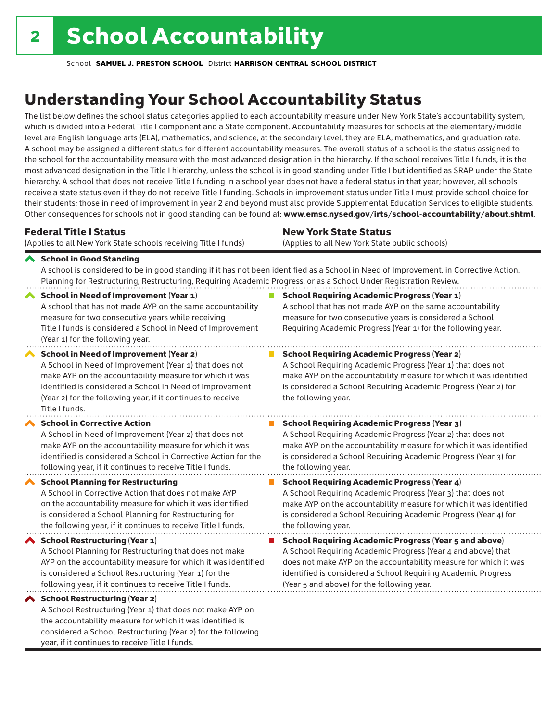considered a School Restructuring (Year 2) for the following

year, if it continues to receive Title I funds.

School **SAMUEL J. PRESTON SCHOOL** District **HARRISON CENTRAL SCHOOL DISTRICT**

# Understanding Your School Accountability Status

The list below defines the school status categories applied to each accountability measure under New York State's accountability system, which is divided into a Federal Title I component and a State component. Accountability measures for schools at the elementary/middle level are English language arts (ELA), mathematics, and science; at the secondary level, they are ELA, mathematics, and graduation rate. A school may be assigned a different status for different accountability measures. The overall status of a school is the status assigned to the school for the accountability measure with the most advanced designation in the hierarchy. If the school receives Title I funds, it is the most advanced designation in the Title I hierarchy, unless the school is in good standing under Title I but identified as SRAP under the State hierarchy. A school that does not receive Title I funding in a school year does not have a federal status in that year; however, all schools receive a state status even if they do not receive Title I funding. Schools in improvement status under Title I must provide school choice for their students; those in need of improvement in year 2 and beyond must also provide Supplemental Education Services to eligible students. Other consequences for schools not in good standing can be found at: www.emsc.nysed.gov/irts/school-accountability/about.shtml.

| <b>Federal Title I Status</b>                                                                                                                                                                                                                                                                                   | <b>New York State Status</b>                                                                                                                                                                                                                                                      |  |  |  |  |
|-----------------------------------------------------------------------------------------------------------------------------------------------------------------------------------------------------------------------------------------------------------------------------------------------------------------|-----------------------------------------------------------------------------------------------------------------------------------------------------------------------------------------------------------------------------------------------------------------------------------|--|--|--|--|
| (Applies to all New York State schools receiving Title I funds)                                                                                                                                                                                                                                                 | (Applies to all New York State public schools)                                                                                                                                                                                                                                    |  |  |  |  |
| School in Good Standing<br>Planning for Restructuring, Restructuring, Requiring Academic Progress, or as a School Under Registration Review.                                                                                                                                                                    | A school is considered to be in good standing if it has not been identified as a School in Need of Improvement, in Corrective Action,                                                                                                                                             |  |  |  |  |
| <b>School in Need of Improvement (Year 1)</b><br>A school that has not made AYP on the same accountability<br>measure for two consecutive years while receiving<br>Title I funds is considered a School in Need of Improvement<br>(Year 1) for the following year.                                              | <b>School Requiring Academic Progress (Year 1)</b><br>A school that has not made AYP on the same accountability<br>measure for two consecutive years is considered a School<br>Requiring Academic Progress (Year 1) for the following year.                                       |  |  |  |  |
| <b>School in Need of Improvement (Year 2)</b><br>A School in Need of Improvement (Year 1) that does not<br>make AYP on the accountability measure for which it was<br>identified is considered a School in Need of Improvement<br>(Year 2) for the following year, if it continues to receive<br>Title I funds. | <b>School Requiring Academic Progress (Year 2)</b><br>A School Requiring Academic Progress (Year 1) that does not<br>make AYP on the accountability measure for which it was identified<br>is considered a School Requiring Academic Progress (Year 2) for<br>the following year. |  |  |  |  |
| <b>School in Corrective Action</b>                                                                                                                                                                                                                                                                              | <b>School Requiring Academic Progress (Year 3)</b>                                                                                                                                                                                                                                |  |  |  |  |
| A School in Need of Improvement (Year 2) that does not                                                                                                                                                                                                                                                          | A School Requiring Academic Progress (Year 2) that does not                                                                                                                                                                                                                       |  |  |  |  |
| make AYP on the accountability measure for which it was                                                                                                                                                                                                                                                         | make AYP on the accountability measure for which it was identified                                                                                                                                                                                                                |  |  |  |  |
| identified is considered a School in Corrective Action for the                                                                                                                                                                                                                                                  | is considered a School Requiring Academic Progress (Year 3) for                                                                                                                                                                                                                   |  |  |  |  |
| following year, if it continues to receive Title I funds.                                                                                                                                                                                                                                                       | the following year.                                                                                                                                                                                                                                                               |  |  |  |  |
| <b>School Planning for Restructuring</b>                                                                                                                                                                                                                                                                        | <b>School Requiring Academic Progress (Year 4)</b>                                                                                                                                                                                                                                |  |  |  |  |
| A School in Corrective Action that does not make AYP                                                                                                                                                                                                                                                            | A School Requiring Academic Progress (Year 3) that does not                                                                                                                                                                                                                       |  |  |  |  |
| on the accountability measure for which it was identified                                                                                                                                                                                                                                                       | make AYP on the accountability measure for which it was identified                                                                                                                                                                                                                |  |  |  |  |
| is considered a School Planning for Restructuring for                                                                                                                                                                                                                                                           | is considered a School Requiring Academic Progress (Year 4) for                                                                                                                                                                                                                   |  |  |  |  |
| the following year, if it continues to receive Title I funds.                                                                                                                                                                                                                                                   | the following year.                                                                                                                                                                                                                                                               |  |  |  |  |
| <b>School Restructuring (Year 1)</b>                                                                                                                                                                                                                                                                            | <b>School Requiring Academic Progress (Year 5 and above)</b>                                                                                                                                                                                                                      |  |  |  |  |
| A School Planning for Restructuring that does not make                                                                                                                                                                                                                                                          | A School Requiring Academic Progress (Year 4 and above) that                                                                                                                                                                                                                      |  |  |  |  |
| AYP on the accountability measure for which it was identified                                                                                                                                                                                                                                                   | does not make AYP on the accountability measure for which it was                                                                                                                                                                                                                  |  |  |  |  |
| is considered a School Restructuring (Year 1) for the                                                                                                                                                                                                                                                           | identified is considered a School Requiring Academic Progress                                                                                                                                                                                                                     |  |  |  |  |
| following year, if it continues to receive Title I funds.                                                                                                                                                                                                                                                       | (Year 5 and above) for the following year.                                                                                                                                                                                                                                        |  |  |  |  |
| ◆ School Restructuring (Year 2)<br>A School Restructuring (Year 1) that does not make AYP on<br>the accountability measure for which it was identified is                                                                                                                                                       |                                                                                                                                                                                                                                                                                   |  |  |  |  |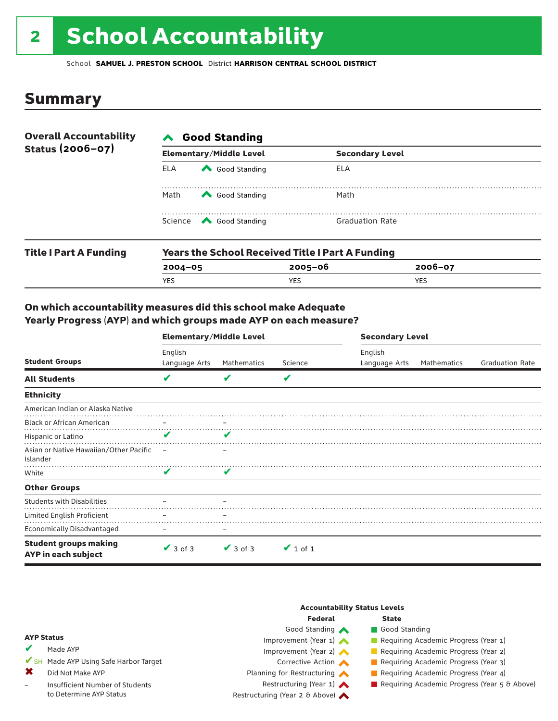# 2 School Accountability

School **SAMUEL J. PRESTON SCHOOL** District **HARRISON CENTRAL SCHOOL DISTRICT**

## Summary

| <b>Overall Accountability</b><br>Status (2006-07) | <b>∧</b> Good Standing |                                                         |                        |  |  |  |
|---------------------------------------------------|------------------------|---------------------------------------------------------|------------------------|--|--|--|
|                                                   |                        | <b>Elementary/Middle Level</b>                          | <b>Secondary Level</b> |  |  |  |
|                                                   | ELA                    | Good Standing                                           | ELA                    |  |  |  |
|                                                   | Math                   | Good Standing                                           | Math                   |  |  |  |
|                                                   |                        | Science <a> Good Standing</a>                           | <b>Graduation Rate</b> |  |  |  |
| <b>Title I Part A Funding</b>                     |                        | <b>Years the School Received Title I Part A Funding</b> |                        |  |  |  |

| <b>Title Part A Funding</b> | rears the School Received Title Part A Funding |         |         |  |  |  |  |
|-----------------------------|------------------------------------------------|---------|---------|--|--|--|--|
|                             | $2004 - 05$                                    | 2005-06 | 2006-07 |  |  |  |  |
|                             | YES.                                           | YES.    | YES     |  |  |  |  |
|                             |                                                |         |         |  |  |  |  |

## On which accountability measures did this school make Adequate Yearly Progress (AYP) and which groups made AYP on each measure?

| <b>Student Groups</b>                               | <b>Elementary/Middle Level</b> |               |               | <b>Secondary Level</b>   |             |                        |  |
|-----------------------------------------------------|--------------------------------|---------------|---------------|--------------------------|-------------|------------------------|--|
|                                                     | English<br>Language Arts       | Mathematics   | Science       | English<br>Language Arts | Mathematics | <b>Graduation Rate</b> |  |
| <b>All Students</b>                                 | $\overline{\mathbf{v}}$        | V             | V             |                          |             |                        |  |
| <b>Ethnicity</b>                                    |                                |               |               |                          |             |                        |  |
| American Indian or Alaska Native                    |                                |               |               |                          |             |                        |  |
| <b>Black or African American</b>                    |                                |               |               |                          |             |                        |  |
| Hispanic or Latino                                  | $\mathbf{v}$                   | V             |               |                          |             |                        |  |
| Asian or Native Hawaiian/Other Pacific<br>Islander  | $\overline{\phantom{0}}$       |               |               |                          |             |                        |  |
| White                                               | V                              | V             |               |                          |             |                        |  |
| <b>Other Groups</b>                                 |                                |               |               |                          |             |                        |  |
| <b>Students with Disabilities</b>                   |                                |               |               |                          |             |                        |  |
| Limited English Proficient                          |                                |               |               |                          |             |                        |  |
| <b>Economically Disadvantaged</b>                   |                                |               |               |                          |             |                        |  |
| <b>Student groups making</b><br>AYP in each subject | $\vee$ 3 of 3                  | $\vee$ 3 of 3 | $\vee$ 1 of 1 |                          |             |                        |  |

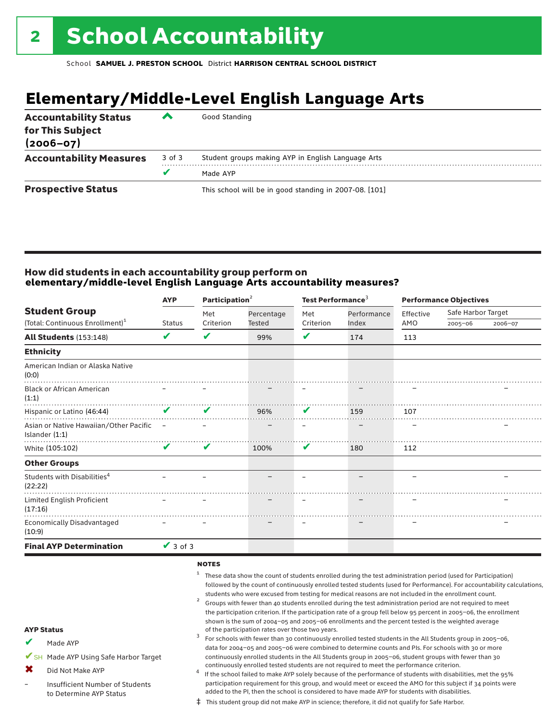# **Elementary/Middle-Level English Language Arts**

| <b>Accountability Status</b><br>for This Subject<br>$(2006 - 07)$ | ▰      | Good Standing                                          |
|-------------------------------------------------------------------|--------|--------------------------------------------------------|
| <b>Accountability Measures</b>                                    | 3 of 3 | Student groups making AYP in English Language Arts     |
|                                                                   |        | Made AYP                                               |
| <b>Prospective Status</b>                                         |        | This school will be in good standing in 2007-08. [101] |

## How did students in each accountability group perform on **elementary/middle-level English Language Arts accountability measures?**

|                                                            | Participation <sup>2</sup><br><b>AYP</b> |           |               | Test Performance <sup>3</sup> |             | <b>Performance Objectives</b> |                    |         |
|------------------------------------------------------------|------------------------------------------|-----------|---------------|-------------------------------|-------------|-------------------------------|--------------------|---------|
| <b>Student Group</b>                                       |                                          | Met       | Percentage    | Met                           | Performance | Effective                     | Safe Harbor Target |         |
| (Total: Continuous Enrollment) <sup>1</sup>                | <b>Status</b>                            | Criterion | <b>Tested</b> | Criterion                     | Index       | AMO                           | $2005 - 06$        | 2006-07 |
| <b>All Students (153:148)</b>                              | V                                        | V         | 99%           | V                             | 174         | 113                           |                    |         |
| <b>Ethnicity</b>                                           |                                          |           |               |                               |             |                               |                    |         |
| American Indian or Alaska Native<br>(0:0)                  |                                          |           |               |                               |             |                               |                    |         |
| <b>Black or African American</b><br>(1:1)                  |                                          |           |               |                               |             |                               |                    |         |
| Hispanic or Latino (46:44)                                 | V                                        | V         | 96%           | V                             | 159         | 107                           |                    |         |
| Asian or Native Hawaiian/Other Pacific<br>Islander $(1:1)$ | $\overline{\phantom{a}}$                 |           |               |                               |             |                               |                    |         |
| White (105:102)                                            | V                                        | V         | 100%          | V                             | 180         | 112                           |                    |         |
| <b>Other Groups</b>                                        |                                          |           |               |                               |             |                               |                    |         |
| Students with Disabilities <sup>4</sup><br>(22:22)         |                                          |           |               |                               |             |                               |                    |         |
| Limited English Proficient<br>(17:16)                      |                                          |           |               |                               |             | -                             |                    |         |
| <b>Economically Disadvantaged</b><br>(10:9)                |                                          |           |               |                               |             |                               |                    |         |
| <b>Final AYP Determination</b>                             | $\sqrt{3}$ of 3                          |           |               |                               |             |                               |                    |         |

### notes

–

- AYP Status Made AYP ✔SH Made AYP Using Safe Harbor Target Did Not Make AYP Insufficient Number of Students to Determine AYP Status <sup>1</sup> These data show the count of students enrolled during the test administration period (used for Participation) followed by the count of continuously enrolled tested students (used for Performance). For accountability calculations, students who were excused from testing for medical reasons are not included in the enrollment count.<br><sup>2</sup> Groups with fewer than 40 students enrolled during the test administration period are not required to meet the participation criterion. If the participation rate of a group fell below 95 percent in 2005–06, the enrollment shown is the sum of 2004–05 and 2005–06 enrollments and the percent tested is the weighted average<br>of the participation rates over those two years. of the participation rates over those two years. <sup>3</sup> For schools with fewer than 30 continuously enrolled tested students in the All Students group in 2005–06, data for 2004–05 and 2005–06 were combined to determine counts and PIs. For schools with 30 or more continuously enrolled students in the All Students group in 2005–06, student groups with fewer than 30 continuously enrolled tested students are not required to meet the performance criterion.<br>If the school failed to make AYP solely because of the performance of students with disabilities, met the 95% participation requirement for this group, and would meet or exceed the AMO for this subject if 34 points were added to the PI, then the school is considered to have made AYP for students with disabilities. ✔ ✖
	- ‡ This student group did not make AYP in science; therefore, it did not qualify for Safe Harbor.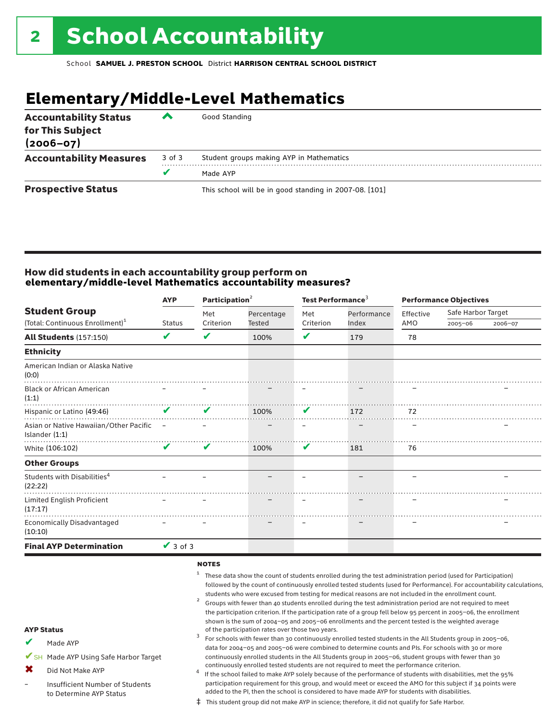# **Elementary/Middle-Level Mathematics**

| <b>Accountability Status</b><br>for This Subject<br>$(2006 - 07)$ | ▰      | Good Standing                                          |
|-------------------------------------------------------------------|--------|--------------------------------------------------------|
| <b>Accountability Measures</b>                                    | 3 of 3 | Student groups making AYP in Mathematics               |
|                                                                   |        | Made AYP                                               |
| <b>Prospective Status</b>                                         |        | This school will be in good standing in 2007-08. [101] |

## How did students in each accountability group perform on **elementary/middle-level Mathematics accountability measures?**

| <b>AYP</b>                                                         |               |                              |                             |                          | <b>Performance Objectives</b>          |                    |             |
|--------------------------------------------------------------------|---------------|------------------------------|-----------------------------|--------------------------|----------------------------------------|--------------------|-------------|
|                                                                    | Met           | Percentage                   | Met                         | Performance              | Effective                              | Safe Harbor Target |             |
|                                                                    |               |                              |                             |                          |                                        |                    | 2006-07     |
| V                                                                  | ✔             | 100%                         | V                           | 179                      | 78                                     |                    |             |
|                                                                    |               |                              |                             |                          |                                        |                    |             |
|                                                                    |               |                              |                             |                          |                                        |                    |             |
|                                                                    |               |                              |                             |                          |                                        |                    |             |
| $\mathbf v$                                                        | V             | 100%                         | V                           | 172                      | 72                                     |                    |             |
| Asian or Native Hawaiian/Other Pacific<br>$\overline{\phantom{a}}$ |               |                              |                             |                          |                                        |                    |             |
| V                                                                  | V             | 100%                         | V                           | 181                      | 76                                     |                    |             |
|                                                                    |               |                              |                             |                          |                                        |                    |             |
|                                                                    |               |                              |                             | $\overline{\phantom{0}}$ |                                        |                    |             |
|                                                                    |               |                              |                             |                          |                                        |                    |             |
|                                                                    |               |                              |                             |                          |                                        |                    |             |
|                                                                    |               |                              |                             |                          |                                        |                    |             |
|                                                                    | <b>Status</b> | Criterion<br>$\sqrt{3}$ of 3 | Participation $2$<br>Tested | Criterion                | Test Performance <sup>3</sup><br>Index | AMO                | $2005 - 06$ |

### notes

✔

✖ –

- AYP Status Made AYP ✔SH Made AYP Using Safe Harbor Target Did Not Make AYP Insufficient Number of Students to Determine AYP Status <sup>1</sup> These data show the count of students enrolled during the test administration period (used for Participation) followed by the count of continuously enrolled tested students (used for Performance). For accountability calculations, students who were excused from testing for medical reasons are not included in the enrollment count.<br><sup>2</sup> Groups with fewer than 40 students enrolled during the test administration period are not required to meet the participation criterion. If the participation rate of a group fell below 95 percent in 2005–06, the enrollment shown is the sum of 2004–05 and 2005–06 enrollments and the percent tested is the weighted average<br>of the participation rates over those two years. of the participation rates over those two years. <sup>3</sup> For schools with fewer than 30 continuously enrolled tested students in the All Students group in 2005–06, data for 2004–05 and 2005–06 were combined to determine counts and PIs. For schools with 30 or more continuously enrolled students in the All Students group in 2005–06, student groups with fewer than 30 continuously enrolled tested students are not required to meet the performance criterion. <sup>4</sup> If the school failed to make AYP solely because of the performance of students with disabilities, met the 95% participation requirement for this group, and would meet or exceed the AMO for this subject if 34 points were added to the PI, then the school is considered to have made AYP for students with disabilities.
	- ‡ This student group did not make AYP in science; therefore, it did not qualify for Safe Harbor.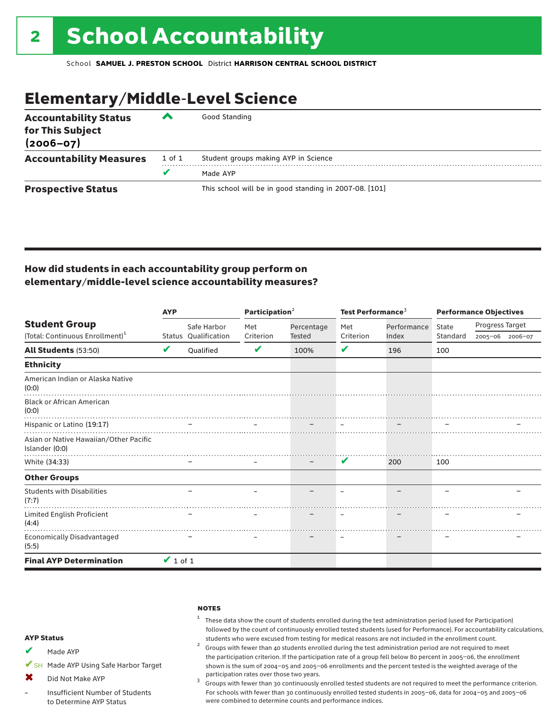# Elementary/Middle-Level Science

| <b>Accountability Status</b><br>for This Subject<br>$(2006 - 07)$ | ▞      | Good Standing                                          |
|-------------------------------------------------------------------|--------|--------------------------------------------------------|
| <b>Accountability Measures</b>                                    | 1 of 1 | Student groups making AYP in Science                   |
|                                                                   | v      | Made AYP                                               |
| <b>Prospective Status</b>                                         |        | This school will be in good standing in 2007-08. [101] |

## How did students in each accountability group perform on elementary/middle-level science accountability measures?

|                                                          | <b>AYP</b>    |                      | Participation <sup>2</sup> |                   | Test Performance <sup>3</sup> |             | <b>Performance Objectives</b> |                 |                 |
|----------------------------------------------------------|---------------|----------------------|----------------------------|-------------------|-------------------------------|-------------|-------------------------------|-----------------|-----------------|
| <b>Student Group</b>                                     |               | Safe Harbor          | Met                        | Percentage        | Met                           | Performance | State                         | Progress Target |                 |
| (Total: Continuous Enrollment) <sup>1</sup>              |               | Status Qualification | Criterion                  | <b>Tested</b>     | Criterion                     | Index       | Standard                      |                 | 2005-06 2006-07 |
| All Students (53:50)                                     | V             | Oualified            | V                          | 100%              | V                             | 196         | 100                           |                 |                 |
| <b>Ethnicity</b>                                         |               |                      |                            |                   |                               |             |                               |                 |                 |
| American Indian or Alaska Native<br>(0:0)                |               |                      |                            |                   |                               |             |                               |                 |                 |
| <b>Black or African American</b><br>(0:0)                |               |                      |                            |                   |                               |             |                               |                 |                 |
| Hispanic or Latino (19:17)                               |               |                      |                            |                   |                               |             |                               |                 |                 |
| Asian or Native Hawaiian/Other Pacific<br>Islander (0:0) |               |                      |                            |                   |                               |             |                               |                 |                 |
| White (34:33)                                            |               |                      |                            | $\qquad \qquad -$ | V                             | 200         | 100                           |                 |                 |
| <b>Other Groups</b>                                      |               |                      |                            |                   |                               |             |                               |                 |                 |
| <b>Students with Disabilities</b><br>(7:7)               |               |                      |                            |                   |                               |             |                               |                 |                 |
| Limited English Proficient<br>(4:4)                      |               |                      |                            |                   |                               |             |                               |                 |                 |
| Economically Disadvantaged<br>(5:5)                      |               |                      |                            |                   |                               |             |                               |                 |                 |
| <b>Final AYP Determination</b>                           | $\vee$ 1 of 1 |                      |                            |                   |                               |             |                               |                 |                 |

#### **NOTES**

## $1$  These data show the count of students enrolled during the test administration period (used for Participation) followed by the count of continuously enrolled tested students (used for Performance). For accountability calculations,

students who were excused from testing for medical reasons are not included in the enrollment count. <sup>2</sup> Groups with fewer than <sup>40</sup> students enrolled during the test administration period are not required to meet the participation criterion. If the participation rate of a group fell below 80 percent in 2005–06, the enrollment shown is the sum of 2004–05 and 2005–06 enrollments and the percent tested is the weighted average of the

participation rates over those two years.<br><sup>3</sup> Groups with fewer than 30 continuously enrolled tested students are not required to meet the performance criterion. For schools with fewer than 30 continuously enrolled tested students in 2005–06, data for 2004–05 and 2005–06 were combined to determine counts and performance indices.

#### AYP Status

- Made AYP ✔
- ✔SH Made AYP Using Safe Harbor Target
- Did Not Make AYP  $\mathbf x$
- Insufficient Number of Students to Determine AYP Status –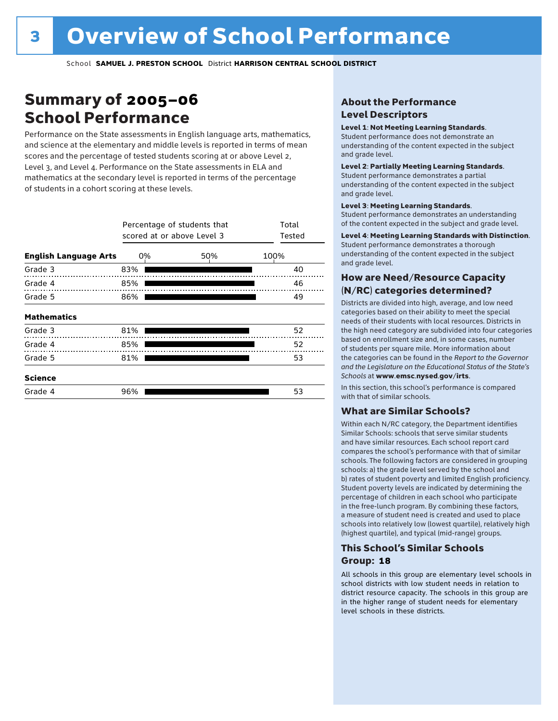# Summary of 2005–06 School Performance

Performance on the State assessments in English language arts, mathematics, and science at the elementary and middle levels is reported in terms of mean scores and the percentage of tested students scoring at or above Level 2, Level 3, and Level 4. Performance on the State assessments in ELA and mathematics at the secondary level is reported in terms of the percentage of students in a cohort scoring at these levels.

|                              |     | Percentage of students that<br>scored at or above Level 3 |      |  |  |  |  |  |
|------------------------------|-----|-----------------------------------------------------------|------|--|--|--|--|--|
| <b>English Language Arts</b> | 0%  | 50%                                                       | 100% |  |  |  |  |  |
| Grade 3                      | 83% |                                                           | 40   |  |  |  |  |  |
| Grade 4                      | 85% |                                                           | 46   |  |  |  |  |  |
| Grade 5                      | 86% |                                                           | 49   |  |  |  |  |  |
| <b>Mathematics</b>           |     |                                                           |      |  |  |  |  |  |
| Grade 3                      | 81% |                                                           | 52   |  |  |  |  |  |
| Grade 4                      | 85% |                                                           | 52   |  |  |  |  |  |
| Grade 5                      | 81% |                                                           | 53   |  |  |  |  |  |
| <b>Science</b>               |     |                                                           |      |  |  |  |  |  |
| Grade 4                      | 96% |                                                           | 53   |  |  |  |  |  |

## About the Performance Level Descriptors

### Level 1: Not Meeting Learning Standards.

Student performance does not demonstrate an understanding of the content expected in the subject and grade level.

### Level 2: Partially Meeting Learning Standards.

Student performance demonstrates a partial understanding of the content expected in the subject and grade level.

#### Level 3: Meeting Learning Standards.

Student performance demonstrates an understanding of the content expected in the subject and grade level.

### Level 4: Meeting Learning Standards with Distinction.

Student performance demonstrates a thorough understanding of the content expected in the subject and grade level.

## How are Need/Resource Capacity (N/RC) categories determined?

Districts are divided into high, average, and low need categories based on their ability to meet the special needs of their students with local resources. Districts in the high need category are subdivided into four categories based on enrollment size and, in some cases, number of students per square mile. More information about the categories can be found in the *Report to the Governor and the Legislature on the Educational Status of the State's Schools* at www.emsc.nysed.gov/irts.

In this section, this school's performance is compared with that of similar schools.

### What are Similar Schools?

Within each N/RC category, the Department identifies Similar Schools: schools that serve similar students and have similar resources. Each school report card compares the school's performance with that of similar schools. The following factors are considered in grouping schools: a) the grade level served by the school and b) rates of student poverty and limited English proficiency. Student poverty levels are indicated by determining the percentage of children in each school who participate in the free-lunch program. By combining these factors, a measure of student need is created and used to place schools into relatively low (lowest quartile), relatively high (highest quartile), and typical (mid-range) groups.

## This School's Similar Schools Group: **18**

All schools in this group are elementary level schools in school districts with low student needs in relation to district resource capacity. The schools in this group are in the higher range of student needs for elementary level schools in these districts.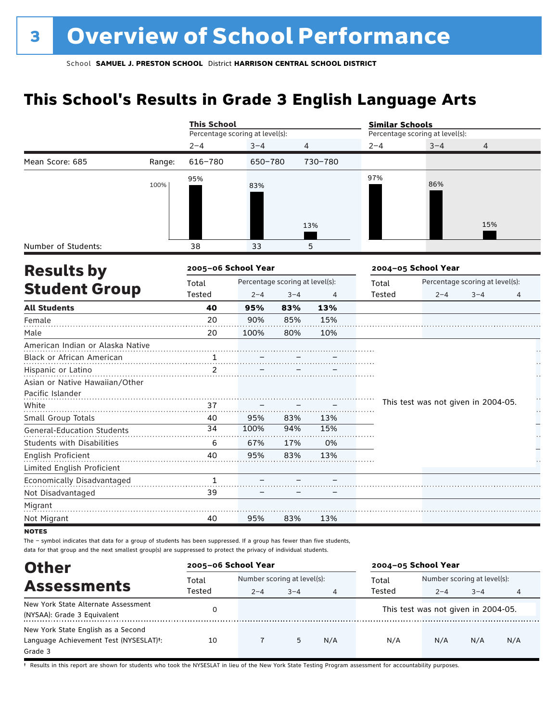# **This School's Results in Grade 3 English Language Arts**

|                                   |        | <b>This School</b>              |                                 |                |         | <b>Similar Schools</b> |                                     |                                 |    |  |
|-----------------------------------|--------|---------------------------------|---------------------------------|----------------|---------|------------------------|-------------------------------------|---------------------------------|----|--|
|                                   |        | Percentage scoring at level(s): |                                 |                |         |                        | Percentage scoring at level(s):     |                                 |    |  |
|                                   |        | $2 - 4$                         | $3 - 4$                         | $\overline{4}$ |         | $2 - 4$                | $3 - 4$                             | $\overline{4}$                  |    |  |
| Mean Score: 685                   | Range: | 616-780                         | 650-780                         |                | 730-780 |                        |                                     |                                 |    |  |
|                                   | 100%   | 95%                             | 83%                             |                |         | 97%                    | 86%                                 |                                 |    |  |
|                                   |        |                                 |                                 |                | 13%     |                        |                                     | 15%                             |    |  |
| Number of Students:               |        | 38                              | 33                              |                | 5       |                        |                                     |                                 |    |  |
| <b>Results by</b>                 |        | 2005-06 School Year             |                                 |                |         |                        | 2004-05 School Year                 |                                 |    |  |
|                                   |        | Total                           | Percentage scoring at level(s): |                |         | Total                  |                                     | Percentage scoring at level(s): |    |  |
| <b>Student Group</b>              |        | Tested                          | $2 - 4$                         | $3 - 4$        | 4       | Tested                 | $2 - 4$                             | $3 - 4$                         | 4  |  |
| <b>All Students</b>               |        | 40                              | 95%                             | 83%            | 13%     |                        |                                     |                                 |    |  |
| Female                            |        | 20                              | 90%                             | 85%            | 15%     |                        |                                     |                                 |    |  |
| Male                              |        | 20                              | 100%                            | 80%            | 10%     |                        |                                     |                                 |    |  |
| American Indian or Alaska Native  |        |                                 |                                 |                |         |                        |                                     |                                 |    |  |
| Black or African American         |        | $\mathbf{1}$                    |                                 |                |         |                        |                                     |                                 |    |  |
| Hispanic or Latino                |        | 2                               |                                 |                |         |                        |                                     |                                 |    |  |
| Asian or Native Hawaiian/Other    |        |                                 |                                 |                |         |                        |                                     |                                 |    |  |
| Pacific Islander                  |        |                                 |                                 |                |         |                        |                                     |                                 | ÷, |  |
| White                             |        | 37                              |                                 |                |         |                        | This test was not given in 2004-05. |                                 | H  |  |
| Small Group Totals                |        | 40                              | 95%                             | 83%            | 13%     |                        |                                     |                                 |    |  |
| <b>General-Education Students</b> |        | 34                              | 100%                            | 94%            | 15%     |                        |                                     |                                 |    |  |
| <b>Students with Disabilities</b> |        | 6                               | 67%                             | 17%            | 0%      |                        |                                     |                                 |    |  |
| English Proficient                |        | 40                              | 95%                             | 83%            | 13%     |                        |                                     |                                 |    |  |
| Limited English Proficient        |        |                                 |                                 |                |         |                        |                                     |                                 |    |  |
| Economically Disadvantaged        |        | $\mathbf{1}$                    |                                 |                |         |                        |                                     |                                 |    |  |
| Not Disadvantaged                 |        | 39                              |                                 |                |         |                        |                                     |                                 |    |  |
| Migrant                           |        |                                 |                                 |                |         |                        |                                     |                                 |    |  |
| Not Migrant                       |        | 40                              | 95%                             | 83%            | 13%     |                        |                                     |                                 |    |  |
| <b>NOTES</b>                      |        |                                 |                                 |                |         |                        |                                     |                                 |    |  |

The – symbol indicates that data for a group of students has been suppressed. If a group has fewer than five students, data for that group and the next smallest group(s) are suppressed to protect the privacy of individual students.

| <b>Other</b>                                                                                         | 2005-06 School Year |                                                        |   |     | 2004-05 School Year |                                        |         |     |
|------------------------------------------------------------------------------------------------------|---------------------|--------------------------------------------------------|---|-----|---------------------|----------------------------------------|---------|-----|
| <b>Assessments</b>                                                                                   | Total<br>Tested     | Number scoring at level(s):<br>$2 - 4$<br>$3 - 4$<br>4 |   |     | Total<br>Tested     | Number scoring at level(s):<br>$2 - 4$ | $3 - 4$ | 4   |
| New York State Alternate Assessment<br>(NYSAA): Grade 3 Equivalent                                   |                     |                                                        |   |     |                     | This test was not given in 2004-05.    |         |     |
| New York State English as a Second<br>Language Achievement Test (NYSESLAT) <sup>+</sup> :<br>Grade 3 | 10                  |                                                        | 5 | N/A | N/A                 | N/A                                    | N/A     | N/A |

† Results in this report are shown for students who took the NYSESLAT in lieu of the New York State Testing Program assessment for accountability purposes.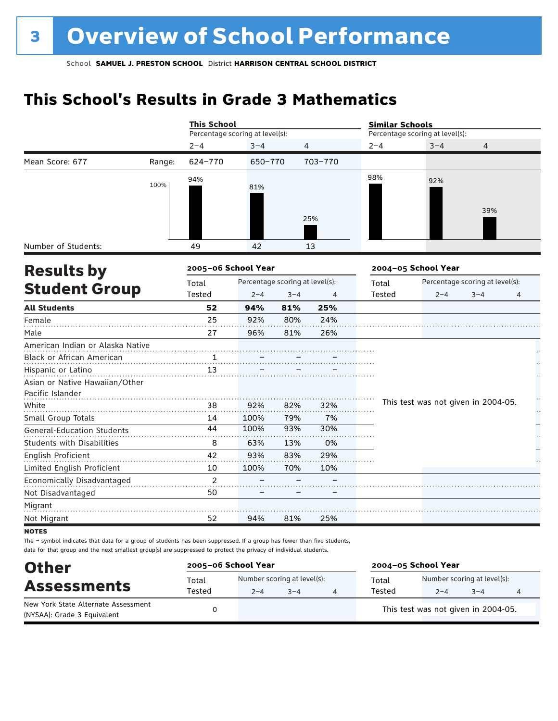# **This School's Results in Grade 3 Mathematics**

|                                   |        |                                                                                                                                                                                                                                                                                                                                                                      |      |     |                                 | <b>Similar Schools</b> |                                     |                                 |   |  |
|-----------------------------------|--------|----------------------------------------------------------------------------------------------------------------------------------------------------------------------------------------------------------------------------------------------------------------------------------------------------------------------------------------------------------------------|------|-----|---------------------------------|------------------------|-------------------------------------|---------------------------------|---|--|
|                                   |        | <b>This School</b><br>Percentage scoring at level(s):<br>$2 - 4$<br>$3 - 4$<br>$\overline{4}$<br>624-770<br>703-770<br>650-770<br>94%<br>81%<br>25%<br>49<br>42<br>13<br>2005-06 School Year<br>Percentage scoring at level(s):<br>Total<br>Tested<br>$2 - 4$<br>$3 - 4$<br>4<br>52<br>94%<br>81%<br>25%<br>25<br>92%<br>80%<br>24%<br>27<br>96%<br>81%<br>26%<br>13 |      |     | Percentage scoring at level(s): |                        |                                     |                                 |   |  |
|                                   |        |                                                                                                                                                                                                                                                                                                                                                                      |      |     |                                 | $2 - 4$                | $3 - 4$                             | $\overline{4}$                  |   |  |
| Mean Score: 677                   | Range: |                                                                                                                                                                                                                                                                                                                                                                      |      |     |                                 |                        |                                     |                                 |   |  |
|                                   | 100%   |                                                                                                                                                                                                                                                                                                                                                                      |      |     |                                 | 98%                    | 92%                                 | 39%                             |   |  |
| Number of Students:               |        |                                                                                                                                                                                                                                                                                                                                                                      |      |     |                                 |                        |                                     |                                 |   |  |
| <b>Results by</b>                 |        |                                                                                                                                                                                                                                                                                                                                                                      |      |     |                                 |                        | 2004-05 School Year                 |                                 |   |  |
|                                   |        |                                                                                                                                                                                                                                                                                                                                                                      |      |     |                                 | Total                  |                                     | Percentage scoring at level(s): |   |  |
| <b>Student Group</b>              |        |                                                                                                                                                                                                                                                                                                                                                                      |      |     |                                 | Tested                 | $2 - 4$                             | $3 - 4$                         | 4 |  |
| <b>All Students</b>               |        |                                                                                                                                                                                                                                                                                                                                                                      |      |     |                                 |                        |                                     |                                 |   |  |
| Female                            |        |                                                                                                                                                                                                                                                                                                                                                                      |      |     |                                 |                        |                                     |                                 |   |  |
| Male                              |        |                                                                                                                                                                                                                                                                                                                                                                      |      |     |                                 |                        |                                     |                                 |   |  |
| American Indian or Alaska Native  |        |                                                                                                                                                                                                                                                                                                                                                                      |      |     |                                 |                        |                                     |                                 |   |  |
| Black or African American         |        |                                                                                                                                                                                                                                                                                                                                                                      |      |     |                                 |                        |                                     |                                 |   |  |
| Hispanic or Latino                |        |                                                                                                                                                                                                                                                                                                                                                                      |      |     |                                 |                        |                                     |                                 |   |  |
| Asian or Native Hawaiian/Other    |        |                                                                                                                                                                                                                                                                                                                                                                      |      |     |                                 |                        |                                     |                                 |   |  |
| Pacific Islander                  |        |                                                                                                                                                                                                                                                                                                                                                                      |      |     |                                 |                        |                                     |                                 | H |  |
| White                             |        | 38                                                                                                                                                                                                                                                                                                                                                                   | 92%  | 82% | 32%                             |                        | This test was not given in 2004-05. |                                 | Н |  |
| Small Group Totals                |        | 14                                                                                                                                                                                                                                                                                                                                                                   | 100% | 79% | 7%                              |                        |                                     |                                 |   |  |
| <b>General-Education Students</b> |        | 44                                                                                                                                                                                                                                                                                                                                                                   | 100% | 93% | 30%                             |                        |                                     |                                 |   |  |
| <b>Students with Disabilities</b> |        | 8                                                                                                                                                                                                                                                                                                                                                                    | 63%  | 13% | 0%                              |                        |                                     |                                 |   |  |
| English Proficient                |        | 42                                                                                                                                                                                                                                                                                                                                                                   | 93%  | 83% | 29%                             |                        |                                     |                                 |   |  |
| Limited English Proficient        |        | 10                                                                                                                                                                                                                                                                                                                                                                   | 100% | 70% | 10%                             |                        |                                     |                                 |   |  |
| Economically Disadvantaged        |        | 2                                                                                                                                                                                                                                                                                                                                                                    |      |     |                                 |                        |                                     |                                 |   |  |
| Not Disadvantaged                 |        | 50                                                                                                                                                                                                                                                                                                                                                                   |      |     |                                 |                        |                                     |                                 |   |  |
| Migrant                           |        |                                                                                                                                                                                                                                                                                                                                                                      |      |     |                                 |                        |                                     |                                 |   |  |
| Not Migrant                       |        | 52                                                                                                                                                                                                                                                                                                                                                                   | 94%  | 81% | 25%                             |                        |                                     |                                 |   |  |
| <b>NOTES</b>                      |        |                                                                                                                                                                                                                                                                                                                                                                      |      |     |                                 |                        |                                     |                                 |   |  |

The – symbol indicates that data for a group of students has been suppressed. If a group has fewer than five students, data for that group and the next smallest group(s) are suppressed to protect the privacy of individual students.

| <b>Other</b>                                                       | 2005-06 School Year |         |                                        | 2004-05 School Year |                                        |         |   |  |
|--------------------------------------------------------------------|---------------------|---------|----------------------------------------|---------------------|----------------------------------------|---------|---|--|
| <b>Assessments</b>                                                 | Total<br>Tested     | $2 - 4$ | Number scoring at level(s):<br>$3 - 4$ | Total<br>Tested     | Number scoring at level(s):<br>$2 - 4$ | $3 - 4$ | 4 |  |
| New York State Alternate Assessment<br>(NYSAA): Grade 3 Equivalent |                     |         |                                        |                     | This test was not given in 2004-05.    |         |   |  |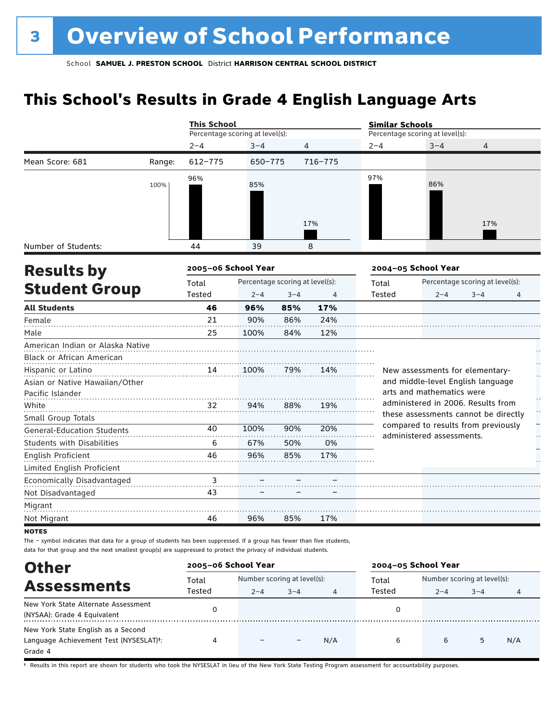# **This School's Results in Grade 4 English Language Arts**

|                                   |        | <b>This School</b>              |         |                                 |         | <b>Similar Schools</b>          |                                                                            |                                 |              |
|-----------------------------------|--------|---------------------------------|---------|---------------------------------|---------|---------------------------------|----------------------------------------------------------------------------|---------------------------------|--------------|
|                                   |        | Percentage scoring at level(s): |         |                                 |         | Percentage scoring at level(s): |                                                                            |                                 |              |
|                                   |        | $2 - 4$                         | $3 - 4$ | 4                               |         | $2 - 4$                         | $3 - 4$                                                                    | 4                               |              |
| Mean Score: 681                   | Range: | $612 - 775$                     | 650-775 |                                 | 716-775 |                                 |                                                                            |                                 |              |
|                                   | 100%   | 96%                             | 85%     |                                 | 17%     | 97%                             | 86%                                                                        | 17%                             |              |
| Number of Students:               |        | 44                              | 39      |                                 | 8       |                                 |                                                                            |                                 |              |
| <b>Results by</b>                 |        | 2005-06 School Year             |         |                                 |         |                                 | 2004-05 School Year                                                        |                                 |              |
|                                   |        | Total                           |         | Percentage scoring at level(s): |         | Total                           |                                                                            | Percentage scoring at level(s): |              |
| <b>Student Group</b>              |        | Tested                          | $2 - 4$ | $3 - 4$                         | 4       | Tested                          | $2 - 4$                                                                    | $3 - 4$                         | 4            |
| <b>All Students</b>               |        | 46                              | 96%     | 85%                             | 17%     |                                 |                                                                            |                                 |              |
| Female                            |        | 21                              | 90%     | 86%                             | 24%     |                                 |                                                                            |                                 |              |
| Male                              |        | 25                              | 100%    | 84%                             | 12%     |                                 |                                                                            |                                 |              |
| American Indian or Alaska Native  |        |                                 |         |                                 |         |                                 |                                                                            |                                 |              |
| Black or African American         |        |                                 |         |                                 |         |                                 |                                                                            |                                 |              |
| Hispanic or Latino                |        | 14                              | 100%    | 79%                             | 14%     |                                 | New assessments for elementary-                                            |                                 | L,           |
| Asian or Native Hawaiian/Other    |        |                                 |         |                                 |         |                                 | and middle-level English language                                          |                                 |              |
| Pacific Islander                  |        |                                 |         |                                 |         |                                 | arts and mathematics were                                                  |                                 |              |
| White                             |        | 32                              | 94%     | 88%                             | 19%     |                                 | administered in 2006. Results from<br>these assessments cannot be directly |                                 | $\mathbf{r}$ |
| Small Group Totals                |        |                                 |         |                                 |         |                                 | compared to results from previously                                        |                                 |              |
| <b>General-Education Students</b> |        | 40                              | 100%    | 90%                             | 20%     |                                 | administered assessments.                                                  |                                 | μ,           |
| <b>Students with Disabilities</b> |        | 6                               | 67%     | 50%                             | 0%      |                                 |                                                                            |                                 |              |
| <b>English Proficient</b>         |        | 46                              | 96%     | 85%                             | 17%     |                                 |                                                                            |                                 |              |
| Limited English Proficient        |        |                                 |         |                                 |         |                                 |                                                                            |                                 |              |
| Economically Disadvantaged        |        | 3                               |         |                                 |         |                                 |                                                                            |                                 |              |
| Not Disadvantaged                 |        | 43                              |         |                                 |         |                                 |                                                                            |                                 |              |
| Migrant                           |        |                                 |         |                                 |         |                                 |                                                                            |                                 |              |
| Not Migrant                       |        | 46                              | 96%     | 85%                             | 17%     |                                 |                                                                            |                                 |              |
| <b>NOTES</b>                      |        |                                 |         |                                 |         |                                 |                                                                            |                                 |              |

The – symbol indicates that data for a group of students has been suppressed. If a group has fewer than five students, data for that group and the next smallest group(s) are suppressed to protect the privacy of individual students.

| <b>Other</b>                                                                                         | 2005-06 School Year |                             |         |     | 2004-05 School Year |                             |         |     |
|------------------------------------------------------------------------------------------------------|---------------------|-----------------------------|---------|-----|---------------------|-----------------------------|---------|-----|
| <b>Assessments</b>                                                                                   | Total<br>Tested     | Number scoring at level(s): |         |     | Total<br>Tested     | Number scoring at level(s): |         |     |
| New York State Alternate Assessment<br>(NYSAA): Grade 4 Equivalent                                   |                     | $2 - 4$                     | $3 - 4$ |     |                     | $2 - 4$                     | $3 - 4$ | 4   |
| New York State English as a Second<br>Language Achievement Test (NYSESLAT) <sup>+</sup> :<br>Grade 4 | 4                   |                             |         | N/A | 6                   | 6                           | 5       | N/A |

† Results in this report are shown for students who took the NYSESLAT in lieu of the New York State Testing Program assessment for accountability purposes.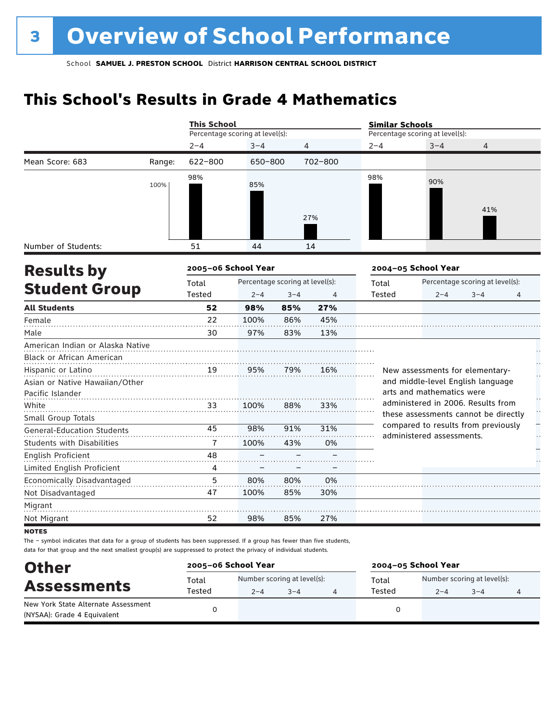# **This School's Results in Grade 4 Mathematics**

|                                   |        | <b>This School</b>  |                                 |         |                | <b>Similar Schools</b> |                                                                            |                                 |   |  |
|-----------------------------------|--------|---------------------|---------------------------------|---------|----------------|------------------------|----------------------------------------------------------------------------|---------------------------------|---|--|
|                                   |        |                     | Percentage scoring at level(s): |         |                |                        | Percentage scoring at level(s):                                            |                                 |   |  |
|                                   |        | $2 - 4$             | $3 - 4$                         |         | 4              | $2 - 4$                | $3 - 4$                                                                    | 4                               |   |  |
| Mean Score: 683                   | Range: | 622-800             | 650-800                         |         | 702-800        |                        |                                                                            |                                 |   |  |
|                                   | 100%   | 98%                 | 85%                             |         | 27%            | 98%                    | 90%                                                                        | 41%                             |   |  |
|                                   |        |                     |                                 |         |                |                        |                                                                            |                                 |   |  |
| Number of Students:               |        | 51                  | 44                              |         | 14             |                        |                                                                            |                                 |   |  |
| <b>Results by</b>                 |        | 2005-06 School Year |                                 |         |                |                        | 2004-05 School Year                                                        |                                 |   |  |
|                                   |        | Total               | Percentage scoring at level(s): |         |                | Total                  |                                                                            | Percentage scoring at level(s): |   |  |
| <b>Student Group</b>              |        | Tested              | $2 - 4$                         | $3 - 4$ | $\overline{4}$ | <b>Tested</b>          | $2 - 4$                                                                    | $3 - 4$                         | 4 |  |
| <b>All Students</b>               |        | 52                  | 98%                             | 85%     | 27%            |                        |                                                                            |                                 |   |  |
| Female                            |        | 22                  | 100%                            | 86%     | 45%            |                        |                                                                            |                                 |   |  |
| Male                              |        | 30                  | 97%                             | 83%     | 13%            |                        |                                                                            |                                 |   |  |
| American Indian or Alaska Native  |        |                     |                                 |         |                |                        |                                                                            |                                 |   |  |
| <b>Black or African American</b>  |        |                     |                                 |         |                |                        |                                                                            |                                 |   |  |
| Hispanic or Latino                |        | 19                  | 95%                             | 79%     | 16%            |                        | New assessments for elementary-                                            |                                 |   |  |
| Asian or Native Hawaiian/Other    |        |                     |                                 |         |                |                        | and middle-level English language                                          |                                 |   |  |
| Pacific Islander                  |        |                     |                                 |         |                |                        | arts and mathematics were                                                  |                                 |   |  |
| White                             |        | 33                  | 100%                            | 88%     | 33%            |                        | administered in 2006. Results from<br>these assessments cannot be directly |                                 |   |  |
| Small Group Totals                |        |                     |                                 |         |                |                        | compared to results from previously                                        |                                 |   |  |
| <b>General-Education Students</b> |        | 45                  | 98%                             | 91%     | 31%            |                        | administered assessments.                                                  |                                 |   |  |
| <b>Students with Disabilities</b> |        | 7                   | 100%                            | 43%     | 0%             |                        |                                                                            |                                 |   |  |
| <b>English Proficient</b>         |        | 48                  |                                 |         |                |                        |                                                                            |                                 |   |  |
| Limited English Proficient        |        | 4                   |                                 |         |                |                        |                                                                            |                                 |   |  |
| Economically Disadvantaged        |        | 5                   | 80%                             | 80%     | 0%             |                        |                                                                            |                                 |   |  |
| Not Disadvantaged                 |        | 47                  | 100%                            | 85%     | 30%            |                        |                                                                            |                                 |   |  |
| Migrant                           |        |                     |                                 |         |                |                        |                                                                            |                                 |   |  |
| Not Migrant                       |        | 52                  | 98%                             | 85%     | 27%            |                        |                                                                            |                                 |   |  |

**NOTES** 

The – symbol indicates that data for a group of students has been suppressed. If a group has fewer than five students, data for that group and the next smallest group(s) are suppressed to protect the privacy of individual students.

| <b>Other</b>                        | 2005-06 School Year |                             |         | 2004-05 School Year                  |         |         |   |  |
|-------------------------------------|---------------------|-----------------------------|---------|--------------------------------------|---------|---------|---|--|
|                                     | Total               | Number scoring at level(s): |         | Number scoring at level(s):<br>Total |         |         |   |  |
| <b>Assessments</b>                  | Tested              | $2 - 4$                     | $3 - 4$ | Tested                               | $2 - 4$ | $3 - 4$ | 4 |  |
| New York State Alternate Assessment |                     |                             |         |                                      |         |         |   |  |
| (NYSAA): Grade 4 Equivalent         |                     |                             |         |                                      |         |         |   |  |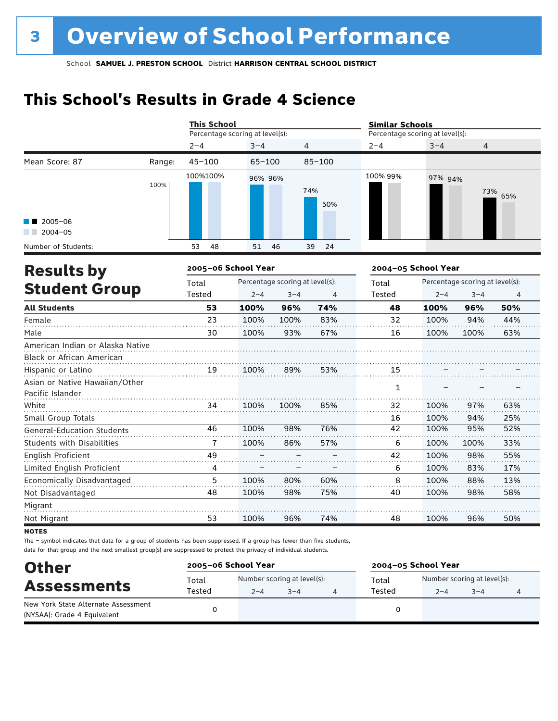# **This School's Results in Grade 4 Science**

|                                                    |        | <b>This School</b>              |                                 |         |                | <b>Similar Schools</b>          |                     |                |     |  |
|----------------------------------------------------|--------|---------------------------------|---------------------------------|---------|----------------|---------------------------------|---------------------|----------------|-----|--|
|                                                    |        | Percentage scoring at level(s): |                                 |         |                | Percentage scoring at level(s): |                     |                |     |  |
|                                                    |        | $2 - 4$                         | $3 - 4$                         |         | $\overline{4}$ | $2 - 4$                         | $3 - 4$             | $\overline{4}$ |     |  |
| Mean Score: 87                                     | Range: | $45 - 100$                      | $65 - 100$                      |         | $85 - 100$     |                                 |                     |                |     |  |
|                                                    | 100%   | 100%100%                        | 96% 96%                         |         | 74%<br>50%     | 100% 99%                        | 97% 94%             | 73%            | 65% |  |
| $2005 - 06$<br>$2004 - 05$                         |        |                                 |                                 |         |                |                                 |                     |                |     |  |
| Number of Students:                                |        | 48<br>53                        | 51                              | 46      | 24<br>39       |                                 |                     |                |     |  |
| <b>Results by</b>                                  |        | 2005-06 School Year             |                                 |         |                |                                 | 2004-05 School Year |                |     |  |
|                                                    | Total  |                                 | Percentage scoring at level(s): |         | Total          | Percentage scoring at level(s): |                     |                |     |  |
| <b>Student Group</b>                               |        | Tested                          | $2 - 4$                         | $3 - 4$ | 4              | Tested                          | $2 - 4$             | $3 - 4$        | 4   |  |
| <b>All Students</b>                                |        | 53                              | 100%                            | 96%     | 74%            | 48                              | 100%                | 96%            | 50% |  |
| Female                                             |        | 23                              | 100%                            | 100%    | 83%            | 32                              | 100%                | 94%            | 44% |  |
| Male                                               |        | 30                              | 100%                            | 93%     | 67%            | 16                              | 100%                | 100%           | 63% |  |
| American Indian or Alaska Native                   |        |                                 |                                 |         |                |                                 |                     |                |     |  |
| Black or African American                          |        |                                 |                                 |         |                |                                 |                     |                |     |  |
| Hispanic or Latino                                 |        | 19                              | 100%                            | 89%     | 53%            | 15                              |                     |                |     |  |
| Asian or Native Hawaiian/Other<br>Pacific Islander |        |                                 |                                 |         |                | 1                               |                     |                |     |  |
| White                                              |        | 34                              | 100%                            | 100%    | 85%            | 32                              | 100%                | 97%            | 63% |  |
| Small Group Totals                                 |        |                                 |                                 |         |                | 16                              | 100%                | 94%            | 25% |  |
| <b>General-Education Students</b>                  |        | 46                              | 100%                            | 98%     | 76%            | 42                              | 100%                | 95%            | 52% |  |
| Students with Disabilities                         |        | $\overline{7}$                  | 100%                            | 86%     | 57%            | 6                               | 100%                | 100%           | 33% |  |
| English Proficient                                 |        | 49                              |                                 |         |                | 42                              | 100%                | 98%            | 55% |  |
| Limited English Proficient                         |        | 4                               |                                 |         |                | 6                               | 100%                | 83%            | 17% |  |
| Economically Disadvantaged                         |        | 5                               | 100%                            | 80%     | 60%            | 8                               | 100%                | 88%            | 13% |  |
| Not Disadvantaged                                  |        | 48                              | 100%                            | 98%     | 75%            | 40                              | 100%                | 98%            | 58% |  |
| Migrant                                            |        |                                 |                                 |         |                |                                 |                     |                |     |  |
| Not Migrant                                        |        | 53                              | 100%                            | 96%     | 74%            | 48                              | 100%                | 96%            | 50% |  |

**NOTES** 

The – symbol indicates that data for a group of students has been suppressed. If a group has fewer than five students, data for that group and the next smallest group(s) are suppressed to protect the privacy of individual students.

| <b>Other</b>                        |        | 2005-06 School Year<br>2004-05 School Year |         |  |        |                             |         |   |
|-------------------------------------|--------|--------------------------------------------|---------|--|--------|-----------------------------|---------|---|
|                                     | Total  | Number scoring at level(s):                |         |  | Total  | Number scoring at level(s): |         |   |
| <b>Assessments</b>                  | Tested | $2 - 4$                                    | $3 - 4$ |  | Tested | $2 - 4$                     | $3 - 4$ | 4 |
| New York State Alternate Assessment |        |                                            |         |  |        |                             |         |   |
| (NYSAA): Grade 4 Equivalent         |        |                                            |         |  |        |                             |         |   |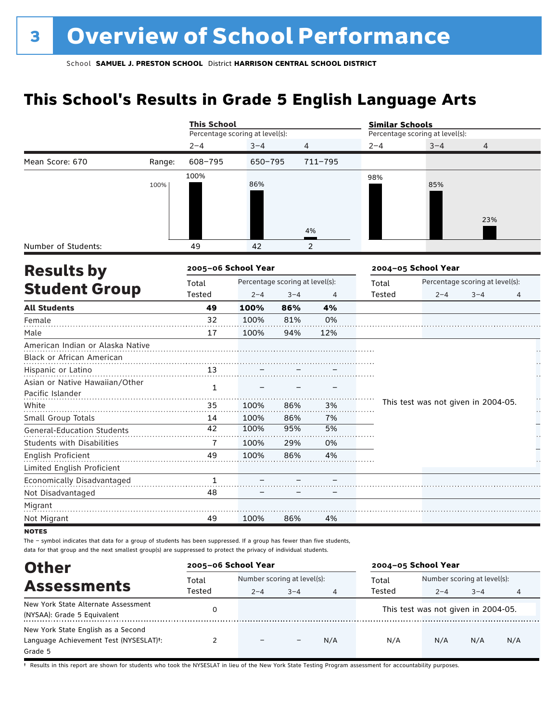# **This School's Results in Grade 5 English Language Arts**

|                                                    |        | <b>This School</b>              |                                 |                |         | <b>Similar Schools</b> |                                     |                                 |   |  |
|----------------------------------------------------|--------|---------------------------------|---------------------------------|----------------|---------|------------------------|-------------------------------------|---------------------------------|---|--|
|                                                    |        | Percentage scoring at level(s): |                                 |                |         |                        | Percentage scoring at level(s):     |                                 |   |  |
|                                                    |        | $2 - 4$                         | $3 - 4$                         | $\overline{4}$ |         | $2 - 4$                | $3 - 4$                             | 4                               |   |  |
| Mean Score: 670                                    | Range: | 608-795                         | 650-795                         |                | 711-795 |                        |                                     |                                 |   |  |
|                                                    | 100%   | 100%                            | 86%                             |                |         | 98%                    | 85%                                 |                                 |   |  |
| Number of Students:                                |        | 49                              | 42                              |                | 4%<br>2 |                        |                                     | 23%                             |   |  |
| <b>Results by</b>                                  |        | 2005-06 School Year             |                                 |                |         |                        | 2004-05 School Year                 |                                 |   |  |
|                                                    |        | Total                           | Percentage scoring at level(s): |                |         | Total                  |                                     | Percentage scoring at level(s): |   |  |
| <b>Student Group</b>                               |        | Tested                          | $2 - 4$                         | $3 - 4$        | 4       | Tested                 | $2 - 4$                             | $3 - 4$                         | 4 |  |
| <b>All Students</b>                                |        | 49                              | 100%                            | 86%            | 4%      |                        |                                     |                                 |   |  |
| Female                                             |        | 32                              | 100%                            | 81%            | 0%      |                        |                                     |                                 |   |  |
| Male                                               |        | 17                              | 100%                            | 94%            | 12%     |                        |                                     |                                 |   |  |
| American Indian or Alaska Native                   |        |                                 |                                 |                |         |                        |                                     |                                 |   |  |
| Black or African American                          |        |                                 |                                 |                |         |                        |                                     |                                 |   |  |
| Hispanic or Latino                                 |        | 13                              |                                 |                |         |                        |                                     |                                 |   |  |
| Asian or Native Hawaiian/Other<br>Pacific Islander |        | $\mathbf{1}$                    |                                 |                |         |                        |                                     |                                 |   |  |
| White                                              |        | 35                              | 100%                            | 86%            | 3%      |                        | This test was not given in 2004-05. |                                 |   |  |
| Small Group Totals                                 |        | 14                              | 100%                            | 86%            | 7%      |                        |                                     |                                 |   |  |
| <b>General-Education Students</b>                  |        | 42                              | 100%                            | 95%            | 5%      |                        |                                     |                                 |   |  |
| <b>Students with Disabilities</b>                  |        | 7                               | 100%                            | 29%            | 0%      |                        |                                     |                                 |   |  |
| English Proficient                                 |        | 49                              | 100%                            | 86%            | 4%      |                        |                                     |                                 |   |  |
| Limited English Proficient                         |        |                                 |                                 |                |         |                        |                                     |                                 |   |  |
| Economically Disadvantaged                         |        | $\mathbf{1}$                    |                                 |                |         |                        |                                     |                                 |   |  |
| Not Disadvantaged                                  |        | 48                              |                                 |                |         |                        |                                     |                                 |   |  |
| Migrant                                            |        |                                 |                                 |                |         |                        |                                     |                                 |   |  |
| Not Migrant                                        |        | 49                              | 100%                            | 86%            | 4%      |                        |                                     |                                 |   |  |

data for that group and the next smallest group(s) are suppressed to protect the privacy of individual students.

| <b>Other</b>                                                                                         | 2005-06 School Year                            | 2004-05 School Year |         |                 |                             |                                                |         |     |  |
|------------------------------------------------------------------------------------------------------|------------------------------------------------|---------------------|---------|-----------------|-----------------------------|------------------------------------------------|---------|-----|--|
| <b>Assessments</b>                                                                                   | Number scoring at level(s):<br>Total<br>Tested |                     |         | Total<br>Tested | Number scoring at level(s): |                                                |         |     |  |
| New York State Alternate Assessment<br>(NYSAA): Grade 5 Equivalent                                   |                                                | $2 - 4$             | $3 - 4$ | 4               |                             | $2 - 4$<br>This test was not given in 2004-05. | $3 - 4$ | 4   |  |
| New York State English as a Second<br>Language Achievement Test (NYSESLAT) <sup>+</sup> :<br>Grade 5 |                                                | $\qquad \qquad -$   |         | N/A             | N/A                         | N/A                                            | N/A     | N/A |  |

† Results in this report are shown for students who took the NYSESLAT in lieu of the New York State Testing Program assessment for accountability purposes.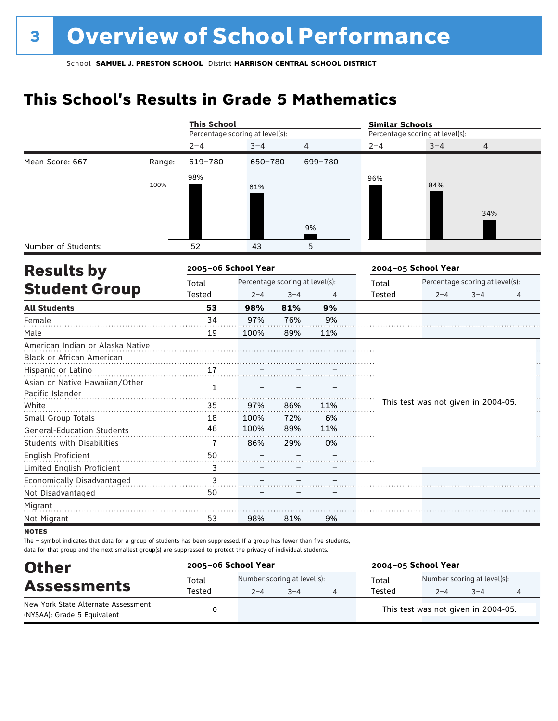# **This School's Results in Grade 5 Mathematics**

|                                                    |        | <b>This School</b>              |                                 |         |                | <b>Similar Schools</b> |                                     |         |   |  |  |
|----------------------------------------------------|--------|---------------------------------|---------------------------------|---------|----------------|------------------------|-------------------------------------|---------|---|--|--|
|                                                    |        | Percentage scoring at level(s): |                                 |         |                |                        | Percentage scoring at level(s):     |         |   |  |  |
|                                                    |        | $2 - 4$                         | $3 - 4$                         |         | 4              | $2 - 4$                | $3 - 4$                             | 4       |   |  |  |
| Mean Score: 667                                    | Range: | 619-780                         | 650-780                         |         | 699-780        |                        |                                     |         |   |  |  |
|                                                    | 100%   | 98%                             | 81%                             |         |                | 96%                    | 84%                                 | 34%     |   |  |  |
|                                                    |        |                                 |                                 |         | 9%             |                        |                                     |         |   |  |  |
| Number of Students:                                |        | 52                              | 43                              |         | 5              |                        |                                     |         |   |  |  |
| 2005-06 School Year<br><b>Results by</b>           |        |                                 |                                 |         |                |                        | 2004-05 School Year                 |         |   |  |  |
|                                                    |        | Total                           | Percentage scoring at level(s): |         |                | Total                  | Percentage scoring at level(s):     |         |   |  |  |
| <b>Student Group</b>                               |        | Tested                          | $2 - 4$                         | $3 - 4$ | $\overline{4}$ | <b>Tested</b>          | $2 - 4$                             | $3 - 4$ | 4 |  |  |
| <b>All Students</b>                                |        | 53                              | 98%                             | 81%     | 9%             |                        |                                     |         |   |  |  |
| Female                                             |        | 34                              | 97%                             | 76%     | 9%             |                        |                                     |         |   |  |  |
| Male                                               |        | 19                              | 100%                            | 89%     | 11%            |                        |                                     |         |   |  |  |
| American Indian or Alaska Native                   |        |                                 |                                 |         |                |                        |                                     |         |   |  |  |
| <b>Black or African American</b>                   |        |                                 |                                 |         |                |                        |                                     |         |   |  |  |
| Hispanic or Latino                                 |        | 17                              |                                 |         |                |                        |                                     |         |   |  |  |
| Asian or Native Hawaiian/Other<br>Pacific Islander |        | 1                               |                                 |         |                |                        |                                     |         |   |  |  |
| White                                              |        | 35                              | 97%                             | 86%     | 11%            |                        | This test was not given in 2004-05. |         |   |  |  |
| Small Group Totals                                 |        | 18                              | 100%                            | 72%     | 6%             |                        |                                     |         | Н |  |  |
| <b>General-Education Students</b>                  |        | 46                              | 100%                            | 89%     | 11%            |                        |                                     |         |   |  |  |
| <b>Students with Disabilities</b>                  |        | 7                               | 86%                             | 29%     | 0%             |                        |                                     |         |   |  |  |
| English Proficient                                 |        | 50                              |                                 |         |                |                        |                                     |         |   |  |  |
| Limited English Proficient                         |        | 3                               |                                 |         |                |                        |                                     |         |   |  |  |
| Economically Disadvantaged                         |        | 3                               |                                 |         |                |                        |                                     |         |   |  |  |
| Not Disadvantaged                                  |        | 50                              |                                 |         |                |                        |                                     |         |   |  |  |
| Migrant                                            |        |                                 |                                 |         |                |                        |                                     |         |   |  |  |
| Not Migrant                                        |        | 53                              | 98%                             | 81%     | 9%             |                        |                                     |         |   |  |  |
|                                                    |        |                                 |                                 |         |                |                        |                                     |         |   |  |  |

**NOTES** 

The – symbol indicates that data for a group of students has been suppressed. If a group has fewer than five students, data for that group and the next smallest group(s) are suppressed to protect the privacy of individual students.

| <b>Other</b>                                                       | 2005-06 School Year |         |                                        | 2004-05 School Year |                                        |         |   |
|--------------------------------------------------------------------|---------------------|---------|----------------------------------------|---------------------|----------------------------------------|---------|---|
| <b>Assessments</b>                                                 | Total<br>Tested     | $2 - 4$ | Number scoring at level(s):<br>$3 - 4$ | Total<br>Tested     | Number scoring at level(s):<br>$2 - 4$ | $3 - 4$ | 4 |
| New York State Alternate Assessment<br>(NYSAA): Grade 5 Equivalent |                     |         |                                        |                     | This test was not given in 2004-05.    |         |   |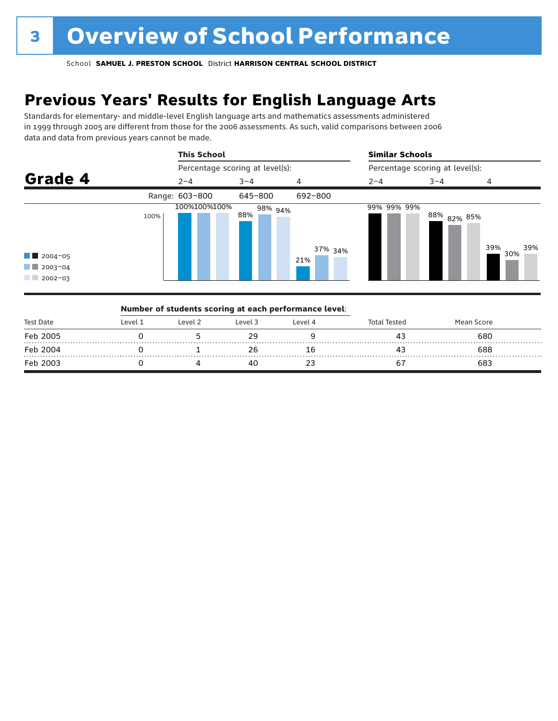# **Previous Years' Results for English Language Arts**

Standards for elementary- and middle-level English language arts and mathematics assessments administered in 1999 through 2005 are different from those for the 2006 assessments. As such, valid comparisons between 2006 data and data from previous years cannot be made.



| Test Date |          | Number of students scoring at each performance level: |         |         |                     |            |  |
|-----------|----------|-------------------------------------------------------|---------|---------|---------------------|------------|--|
|           | l evel 1 | Level 2                                               | Level 3 | Level 4 | <b>Total Tested</b> | Mean Score |  |
| Feb 2005  |          |                                                       |         |         | 4:                  | 680        |  |
| Feb 2004  |          |                                                       |         | Ιb      |                     | 688        |  |
| Feb 2003  |          |                                                       |         |         |                     | 683        |  |